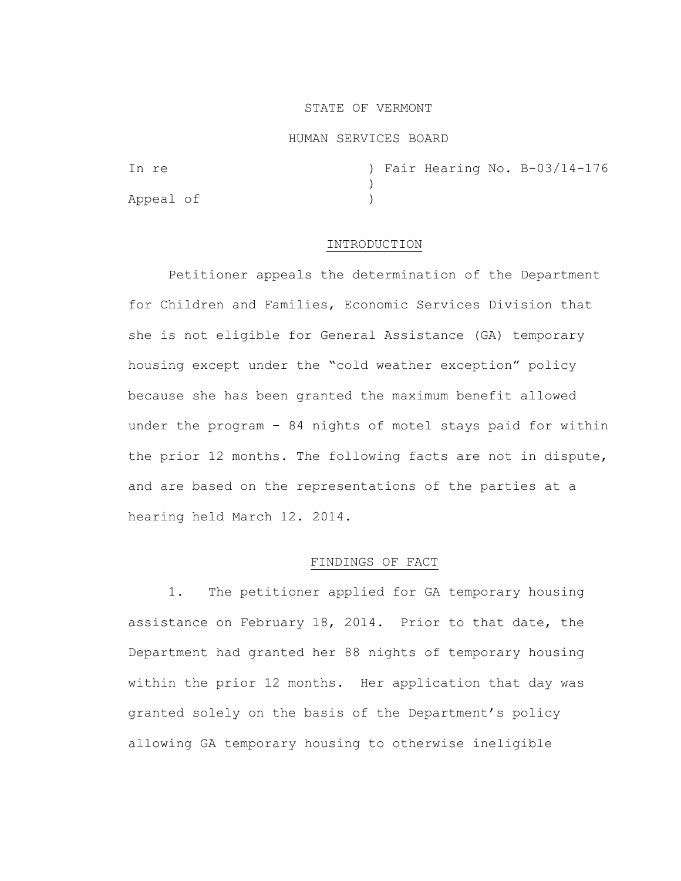### STATE OF VERMONT

#### HUMAN SERVICES BOARD

In re  $\qquad$  ) Fair Hearing No. B-03/14-176  $\lambda$ Appeal of )

# INTRODUCTION

Petitioner appeals the determination of the Department for Children and Families, Economic Services Division that she is not eligible for General Assistance (GA) temporary housing except under the "cold weather exception" policy because she has been granted the maximum benefit allowed under the program – 84 nights of motel stays paid for within the prior 12 months. The following facts are not in dispute, and are based on the representations of the parties at a hearing held March 12. 2014.

# FINDINGS OF FACT

1. The petitioner applied for GA temporary housing assistance on February 18, 2014. Prior to that date, the Department had granted her 88 nights of temporary housing within the prior 12 months. Her application that day was granted solely on the basis of the Department's policy allowing GA temporary housing to otherwise ineligible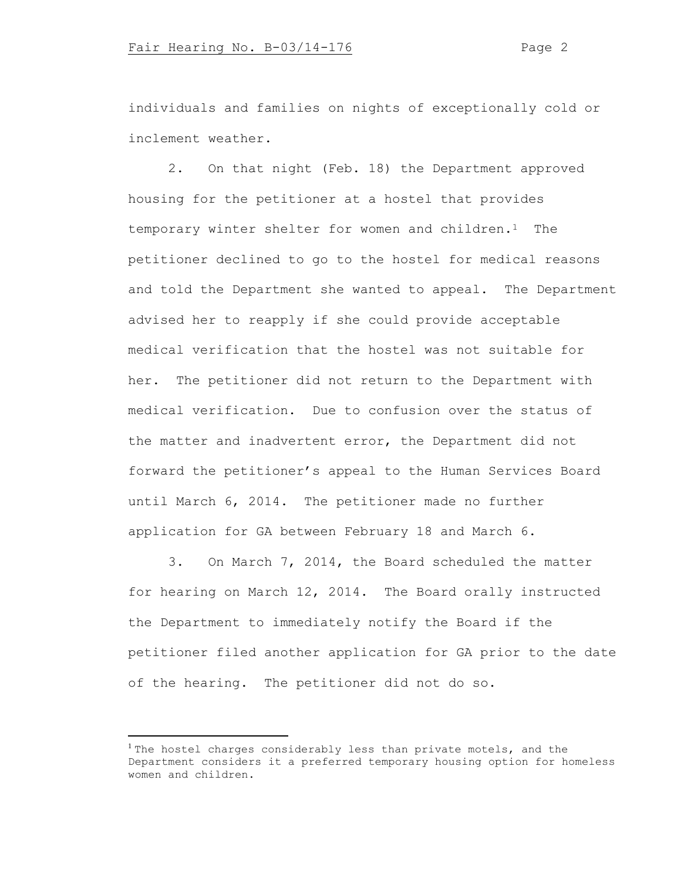individuals and families on nights of exceptionally cold or inclement weather.

2. On that night (Feb. 18) the Department approved housing for the petitioner at a hostel that provides temporary winter shelter for women and children.1 The petitioner declined to go to the hostel for medical reasons and told the Department she wanted to appeal. The Department advised her to reapply if she could provide acceptable medical verification that the hostel was not suitable for her. The petitioner did not return to the Department with medical verification. Due to confusion over the status of the matter and inadvertent error, the Department did not forward the petitioner's appeal to the Human Services Board until March 6, 2014. The petitioner made no further application for GA between February 18 and March 6.

3. On March 7, 2014, the Board scheduled the matter for hearing on March 12, 2014. The Board orally instructed the Department to immediately notify the Board if the petitioner filed another application for GA prior to the date of the hearing. The petitioner did not do so.

<sup>&</sup>lt;sup>1</sup> The hostel charges considerably less than private motels, and the Department considers it a preferred temporary housing option for homeless women and children.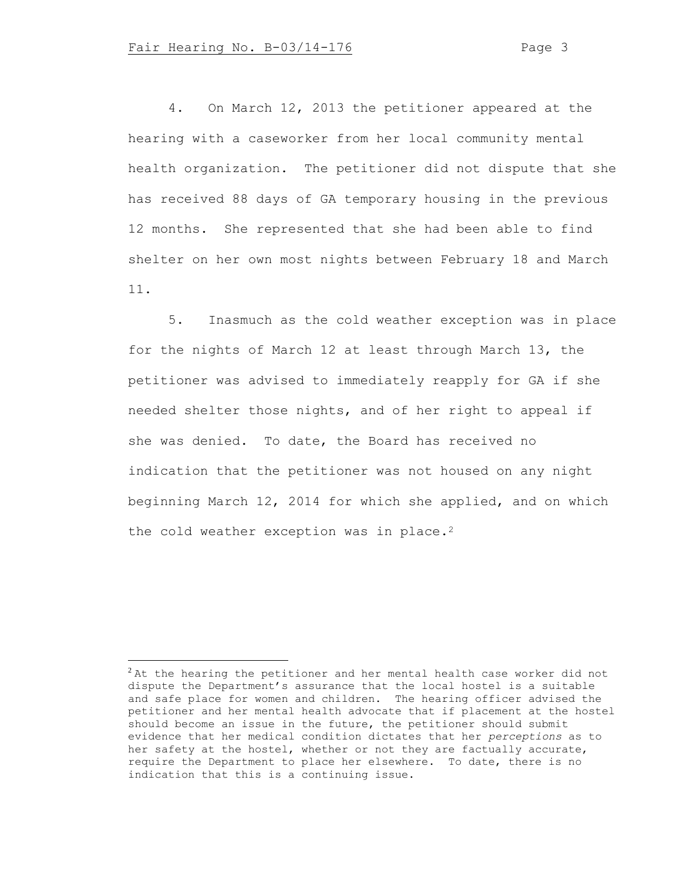4. On March 12, 2013 the petitioner appeared at the hearing with a caseworker from her local community mental health organization. The petitioner did not dispute that she has received 88 days of GA temporary housing in the previous 12 months. She represented that she had been able to find shelter on her own most nights between February 18 and March 11.

5. Inasmuch as the cold weather exception was in place for the nights of March 12 at least through March 13, the petitioner was advised to immediately reapply for GA if she needed shelter those nights, and of her right to appeal if she was denied. To date, the Board has received no indication that the petitioner was not housed on any night beginning March 12, 2014 for which she applied, and on which the cold weather exception was in place.<sup>2</sup>

 $2$ At the hearing the petitioner and her mental health case worker did not dispute the Department's assurance that the local hostel is a suitable and safe place for women and children. The hearing officer advised the petitioner and her mental health advocate that if placement at the hostel should become an issue in the future, the petitioner should submit evidence that her medical condition dictates that her *perceptions* as to her safety at the hostel, whether or not they are factually accurate, require the Department to place her elsewhere. To date, there is no indication that this is a continuing issue.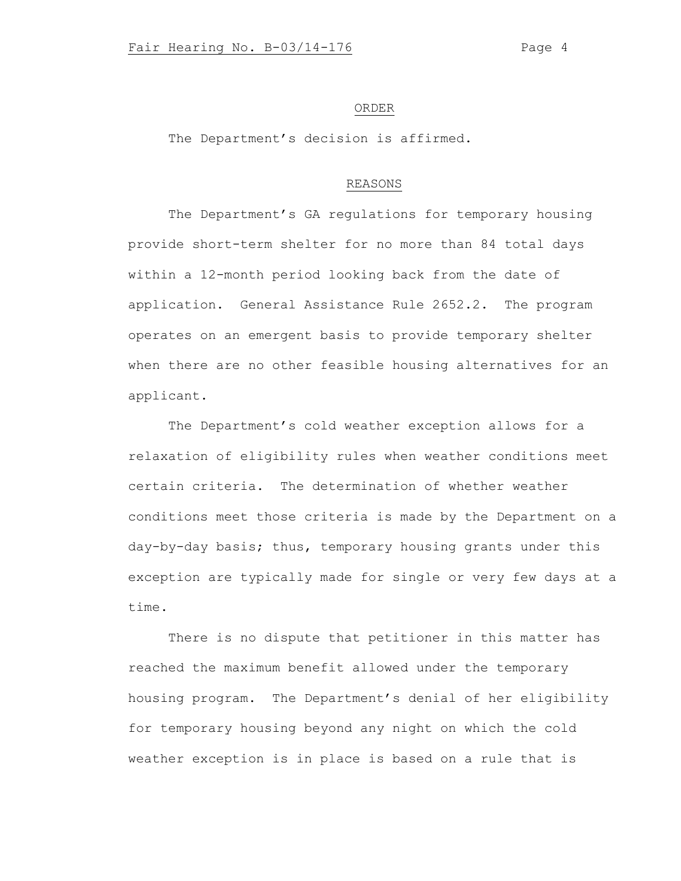#### ORDER

The Department's decision is affirmed.

# REASONS

The Department's GA regulations for temporary housing provide short-term shelter for no more than 84 total days within a 12-month period looking back from the date of application. General Assistance Rule 2652.2. The program operates on an emergent basis to provide temporary shelter when there are no other feasible housing alternatives for an applicant.

The Department's cold weather exception allows for a relaxation of eligibility rules when weather conditions meet certain criteria. The determination of whether weather conditions meet those criteria is made by the Department on a day-by-day basis; thus, temporary housing grants under this exception are typically made for single or very few days at a time.

There is no dispute that petitioner in this matter has reached the maximum benefit allowed under the temporary housing program. The Department's denial of her eligibility for temporary housing beyond any night on which the cold weather exception is in place is based on a rule that is